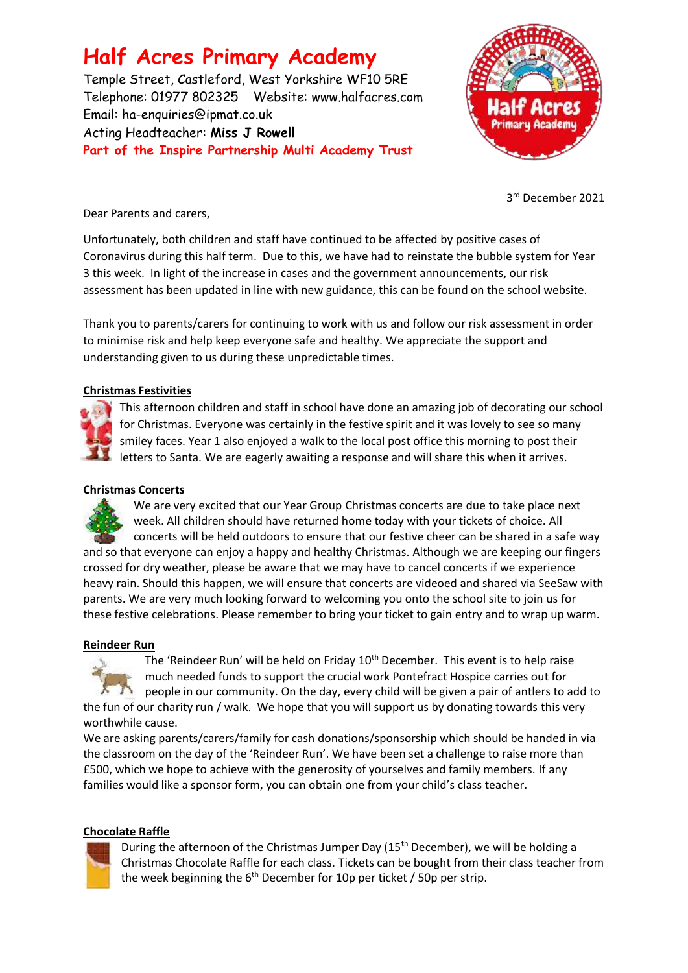# **Half Acres Primary Academy**

Temple Street, Castleford, West Yorkshire WF10 5RE Telephone: 01977 802325 Website: [www.halfacres.com](http://www.halfacres.com/) Email: ha-enquiries@ipmat.co.uk Acting Headteacher: **Miss J Rowell Part of the Inspire Partnership Multi Academy Trust**



3 rd December 2021

Dear Parents and carers,

Unfortunately, both children and staff have continued to be affected by positive cases of Coronavirus during this half term. Due to this, we have had to reinstate the bubble system for Year 3 this week. In light of the increase in cases and the government announcements, our risk assessment has been updated in line with new guidance, this can be found on the school website.

Thank you to parents/carers for continuing to work with us and follow our risk assessment in order to minimise risk and help keep everyone safe and healthy. We appreciate the support and understanding given to us during these unpredictable times.

# **Christmas Festivities**



This afternoon children and staff in school have done an amazing job of decorating our school for Christmas. Everyone was certainly in the festive spirit and it was lovely to see so many smiley faces. Year 1 also enjoyed a walk to the local post office this morning to post their letters to Santa. We are eagerly awaiting a response and will share this when it arrives.

## **Christmas Concerts**

We are very excited that our Year Group Christmas concerts are due to take place next week. All children should have returned home today with your tickets of choice. All concerts will be held outdoors to ensure that our festive cheer can be shared in a safe way and so that everyone can enjoy a happy and healthy Christmas. Although we are keeping our fingers crossed for dry weather, please be aware that we may have to cancel concerts if we experience heavy rain. Should this happen, we will ensure that concerts are videoed and shared via SeeSaw with parents. We are very much looking forward to welcoming you onto the school site to join us for these festive celebrations. Please remember to bring your ticket to gain entry and to wrap up warm.

## **Reindeer Run**



The 'Reindeer Run' will be held on Friday 10<sup>th</sup> December. This event is to help raise much needed funds to support the crucial work Pontefract Hospice carries out for people in our community. On the day, every child will be given a pair of antlers to add to the fun of our charity run / walk. We hope that you will support us by donating towards this very worthwhile cause.

We are asking parents/carers/family for cash donations/sponsorship which should be handed in via the classroom on the day of the 'Reindeer Run'. We have been set a challenge to raise more than £500, which we hope to achieve with the generosity of yourselves and family members. If any families would like a sponsor form, you can obtain one from your child's class teacher.

# **Chocolate Raffle**



During the afternoon of the Christmas Jumper Day  $(15<sup>th</sup> December)$ , we will be holding a Christmas Chocolate Raffle for each class. Tickets can be bought from their class teacher from the week beginning the  $6<sup>th</sup>$  December for 10p per ticket / 50p per strip.